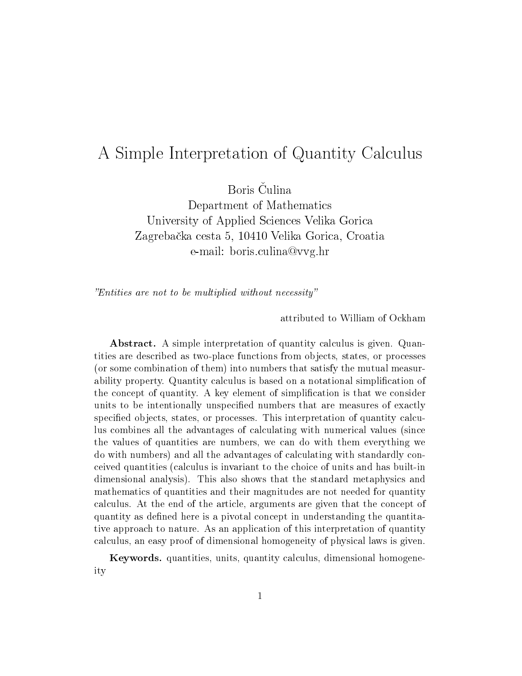## A Simple Interpretation of Quantity Calculus

Boris Čulina

Department of Mathematics University of Applied Sciences Velika Gorica Zagreba£ka cesta 5, 10410 Velika Gorica, Croatia e-mail: boris.culina@vvg.hr

Entities are not to be multiplied without necessity

attributed to William of Ockham

Abstract. A simple interpretation of quantity calculus is given. Quantities are described as two-place functions from objects, states, or processes (or some combination of them) into numbers that satisfy the mutual measurability property. Quantity calculus is based on a notational simplication of the concept of quantity. A key element of simplication is that we consider units to be intentionally unspecified numbers that are measures of exactly specified objects, states, or processes. This interpretation of quantity calculus combines all the advantages of calculating with numerical values (since the values of quantities are numbers, we can do with them everything we do with numbers) and all the advantages of calculating with standardly conceived quantities (calculus is invariant to the choice of units and has built-in dimensional analysis). This also shows that the standard metaphysics and mathematics of quantities and their magnitudes are not needed for quantity calculus. At the end of the article, arguments are given that the concept of quantity as defined here is a pivotal concept in understanding the quantitative approach to nature. As an application of this interpretation of quantity calculus, an easy proof of dimensional homogeneity of physical laws is given.

Keywords. quantities, units, quantity calculus, dimensional homogeneity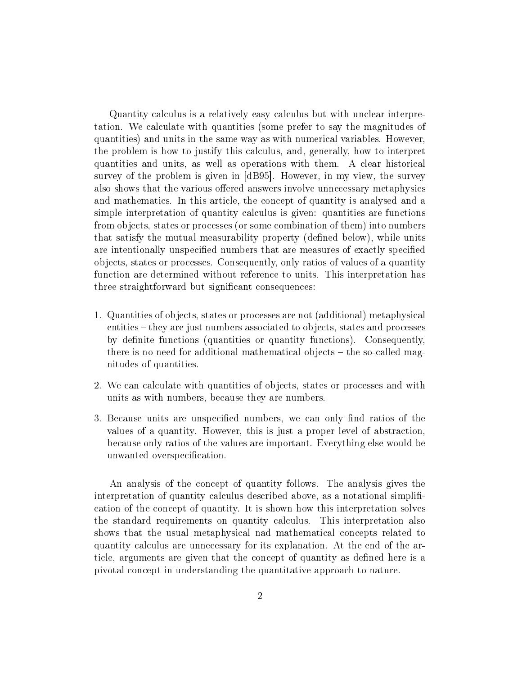Quantity calculus is a relatively easy calculus but with unclear interpretation. We calculate with quantities (some prefer to say the magnitudes of quantities) and units in the same way as with numerical variables. However, the problem is how to justify this calculus, and, generally, how to interpret quantities and units, as well as operations with them. A clear historical survey of the problem is given in [dB95]. However, in my view, the survey also shows that the various offered answers involve unnecessary metaphysics and mathematics. In this article, the concept of quantity is analysed and a simple interpretation of quantity calculus is given: quantities are functions from objects, states or processes (or some combination of them) into numbers that satisfy the mutual measurability property (dened below), while units are intentionally unspecified numbers that are measures of exactly specified objects, states or processes. Consequently, only ratios of values of a quantity function are determined without reference to units. This interpretation has three straightforward but significant consequences:

- 1. Quantities of objects, states or processes are not (additional) metaphysical entities – they are just numbers associated to objects, states and processes by definite functions (quantities or quantity functions). Consequently, there is no need for additional mathematical objects  $-$  the so-called magnitudes of quantities.
- 2. We can calculate with quantities of objects, states or processes and with units as with numbers, because they are numbers.
- 3. Because units are unspecified numbers, we can only find ratios of the values of a quantity. However, this is just a proper level of abstraction, because only ratios of the values are important. Everything else would be unwanted overspecification.

An analysis of the concept of quantity follows. The analysis gives the interpretation of quantity calculus described above, as a notational simpli cation of the concept of quantity. It is shown how this interpretation solves the standard requirements on quantity calculus. This interpretation also shows that the usual metaphysical nad mathematical concepts related to quantity calculus are unnecessary for its explanation. At the end of the article, arguments are given that the concept of quantity as defined here is a pivotal concept in understanding the quantitative approach to nature.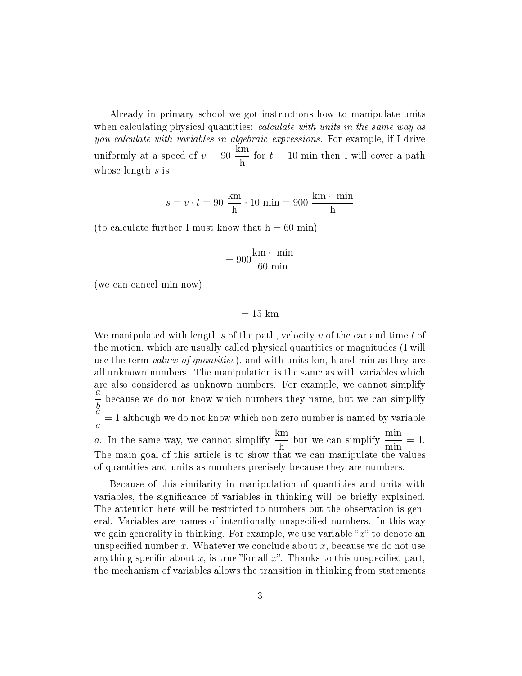Already in primary school we got instructions how to manipulate units when calculating physical quantities: *calculate with units in the same way as* you calculate with variables in algebraic expressions. For example, if I drive uniformly at a speed of  $v = 90$ km h for  $t = 10$  min then I will cover a path whose length s is

$$
s = v \cdot t = 90 \frac{\text{km}}{\text{h}} \cdot 10 \text{ min} = 900 \frac{\text{km} \cdot \text{min}}{\text{h}}
$$

(to calculate further I must know that  $h = 60$  min)

$$
= 900 \frac{\text{km} \cdot \text{min}}{60 \text{ min}}
$$

(we can cancel min now)

 $= 15$  km

We manipulated with length s of the path, velocity v of the car and time t of the motion, which are usually called physical quantities or magnitudes (I will use the term *values of quantities*), and with units km, h and min as they are all unknown numbers. The manipulation is the same as with variables which are also considered as unknown numbers. For example, we cannot simplify a  $\frac{b}{a}$ because we do not know which numbers they name, but we can simplify a a = 1 although we do not know which non-zero number is named by variable a. In the same way, we cannot simplify  $\frac{\text{km}}{1}$ h but we can simplify  $\frac{\min}{\cdot}$ min  $= 1$ . The main goal of this article is to show that we can manipulate the values of quantities and units as numbers precisely because they are numbers.

Because of this similarity in manipulation of quantities and units with variables, the significance of variables in thinking will be briefly explained. The attention here will be restricted to numbers but the observation is general. Variables are names of intentionally unspecified numbers. In this way we gain generality in thinking. For example, we use variable  $x$  to denote an unspecified number x. Whatever we conclude about x, because we do not use anything specific about x, is true "for all x". Thanks to this unspecified part, the mechanism of variables allows the transition in thinking from statements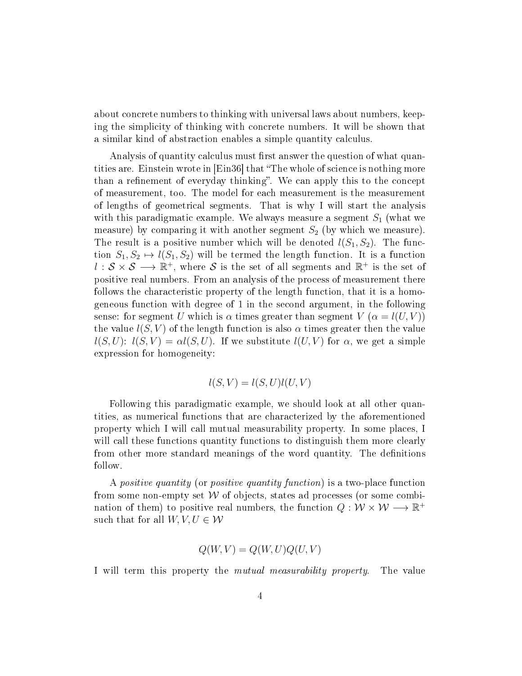about concrete numbers to thinking with universal laws about numbers, keeping the simplicity of thinking with concrete numbers. It will be shown that a similar kind of abstraction enables a simple quantity calculus.

Analysis of quantity calculus must first answer the question of what quantities are. Einstein wrote in [Ein36] that "The whole of science is nothing more than a refinement of everyday thinking". We can apply this to the concept of measurement, too. The model for each measurement is the measurement of lengths of geometrical segments. That is why I will start the analysis with this paradigmatic example. We always measure a segment  $S_1$  (what we measure) by comparing it with another segment  $S_2$  (by which we measure). The result is a positive number which will be denoted  $l(S_1, S_2)$ . The function  $S_1, S_2 \mapsto l(S_1, S_2)$  will be termed the length function. It is a function  $l: \mathcal{S} \times \mathcal{S} \longrightarrow \mathbb{R}^+$ , where  $\mathcal S$  is the set of all segments and  $\mathbb{R}^+$  is the set of positive real numbers. From an analysis of the process of measurement there follows the characteristic property of the length function, that it is a homogeneous function with degree of 1 in the second argument, in the following sense: for segment U which is  $\alpha$  times greater than segment  $V(\alpha = l(U, V))$ the value  $l(S, V)$  of the length function is also  $\alpha$  times greater then the value  $l(S, U)$ :  $l(S, V) = \alpha l(S, U)$ . If we substitute  $l(U, V)$  for  $\alpha$ , we get a simple expression for homogeneity:

$$
l(S, V) = l(S, U)l(U, V)
$$

Following this paradigmatic example, we should look at all other quantities, as numerical functions that are characterized by the aforementioned property which I will call mutual measurability property. In some places, I will call these functions quantity functions to distinguish them more clearly from other more standard meanings of the word quantity. The definitions follow.

A positive quantity (or positive quantity function) is a two-place function from some non-empty set  $W$  of objects, states ad processes (or some combination of them) to positive real numbers, the function  $Q: \mathcal{W} \times \mathcal{W} \longrightarrow \mathbb{R}^+$ such that for all  $W, V, U \in \mathcal{W}$ 

$$
Q(W, V) = Q(W, U)Q(U, V)
$$

I will term this property the mutual measurability property. The value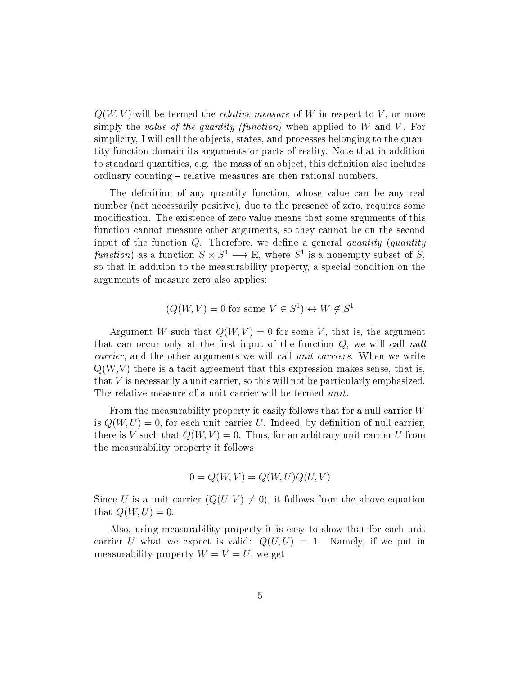$Q(W, V)$  will be termed the *relative measure* of W in respect to V, or more simply the *value of the quantity (function)* when applied to  $W$  and  $V$ . For simplicity, I will call the objects, states, and processes belonging to the quantity function domain its arguments or parts of reality. Note that in addition to standard quantities, e.g. the mass of an object, this definition also includes ordinary counting – relative measures are then rational numbers.

The definition of any quantity function, whose value can be any real number (not necessarily positive), due to the presence of zero, requires some modification. The existence of zero value means that some arguments of this function cannot measure other arguments, so they cannot be on the second input of the function  $Q$ . Therefore, we define a general quantity (quantity function) as a function  $S \times S^1 \longrightarrow \mathbb{R}$ , where  $S^1$  is a nonempty subset of S, so that in addition to the measurability property, a special condition on the arguments of measure zero also applies:

$$
(Q(W, V) = 0
$$
 for some  $V \in S^1$ )  $\leftrightarrow W \notin S^1$ 

Argument W such that  $Q(W, V) = 0$  for some V, that is, the argument that can occur only at the first input of the function  $Q$ , we will call null carrier, and the other arguments we will call *unit carriers*. When we write  $Q(W, V)$  there is a tacit agreement that this expression makes sense, that is, that V is necessarily a unit carrier, so this will not be particularly emphasized. The relative measure of a unit carrier will be termed *unit*.

From the measurability property it easily follows that for a null carrier  $W$ is  $Q(W, U) = 0$ , for each unit carrier U. Indeed, by definition of null carrier, there is V such that  $Q(W, V) = 0$ . Thus, for an arbitrary unit carrier U from the measurability property it follows

$$
0 = Q(W, V) = Q(W, U)Q(U, V)
$$

Since U is a unit carrier  $(Q(U, V) \neq 0)$ , it follows from the above equation that  $Q(W, U) = 0$ .

Also, using measurability property it is easy to show that for each unit carrier U what we expect is valid:  $Q(U, U) = 1$ . Namely, if we put in measurability property  $W = V = U$ , we get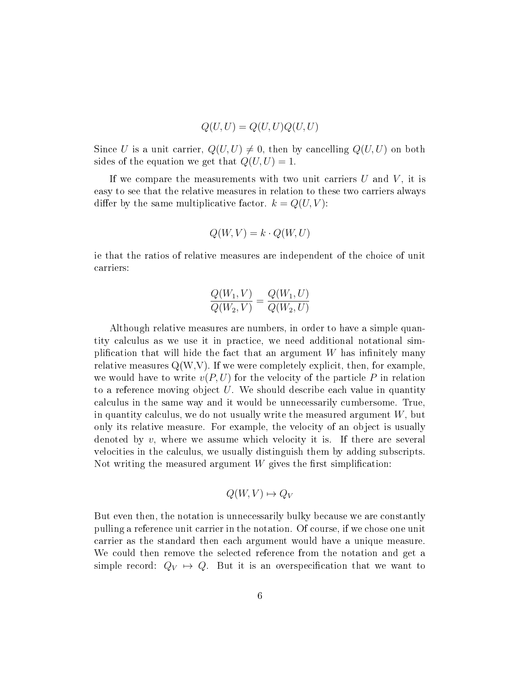$$
Q(U, U) = Q(U, U)Q(U, U)
$$

Since U is a unit carrier,  $Q(U, U) \neq 0$ , then by cancelling  $Q(U, U)$  on both sides of the equation we get that  $Q(U, U) = 1$ .

If we compare the measurements with two unit carriers  $U$  and  $V$ , it is easy to see that the relative measures in relation to these two carriers always differ by the same multiplicative factor.  $k = Q(U, V)$ :

$$
Q(W, V) = k \cdot Q(W, U)
$$

ie that the ratios of relative measures are independent of the choice of unit carriers:

$$
\frac{Q(W_1, V)}{Q(W_2, V)} = \frac{Q(W_1, U)}{Q(W_2, U)}
$$

Although relative measures are numbers, in order to have a simple quantity calculus as we use it in practice, we need additional notational simplification that will hide the fact that an argument  $W$  has infinitely many relative measures  $Q(W, V)$ . If we were completely explicit, then, for example, we would have to write  $v(P, U)$  for the velocity of the particle P in relation to a reference moving object  $U$ . We should describe each value in quantity calculus in the same way and it would be unnecessarily cumbersome. True, in quantity calculus, we do not usually write the measured argument  $W$ , but only its relative measure. For example, the velocity of an object is usually denoted by  $v$ , where we assume which velocity it is. If there are several velocities in the calculus, we usually distinguish them by adding subscripts. Not writing the measured argument  $W$  gives the first simplification:

$$
Q(W, V) \mapsto Q_V
$$

But even then, the notation is unnecessarily bulky because we are constantly pulling a reference unit carrier in the notation. Of course, if we chose one unit carrier as the standard then each argument would have a unique measure. We could then remove the selected reference from the notation and get a simple record:  $Q_V \mapsto Q$ . But it is an overspecification that we want to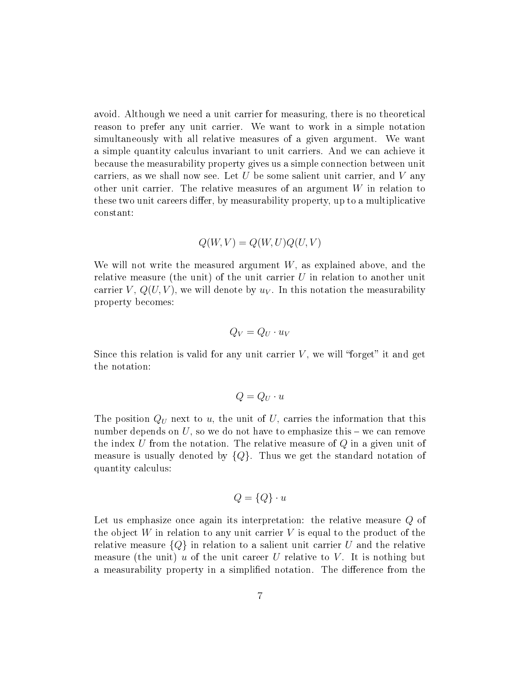avoid. Although we need a unit carrier for measuring, there is no theoretical reason to prefer any unit carrier. We want to work in a simple notation simultaneously with all relative measures of a given argument. We want a simple quantity calculus invariant to unit carriers. And we can achieve it because the measurability property gives us a simple connection between unit carriers, as we shall now see. Let  $U$  be some salient unit carrier, and  $V$  any other unit carrier. The relative measures of an argument  $W$  in relation to these two unit careers differ, by measurability property, up to a multiplicative constant:

$$
Q(W,V) = Q(W,U)Q(U,V)
$$

We will not write the measured argument  $W$ , as explained above, and the relative measure (the unit) of the unit carrier  $U$  in relation to another unit carrier  $V, Q(U, V)$ , we will denote by  $u<sub>V</sub>$ . In this notation the measurability property becomes:

$$
Q_V = Q_U \cdot u_V
$$

Since this relation is valid for any unit carrier  $V$ , we will "forget" it and get the notation:

$$
Q = Q_U \cdot u
$$

The position  $Q_U$  next to u, the unit of U, carries the information that this number depends on  $U$ , so we do not have to emphasize this  $-\infty$  can remove the index U from the notation. The relative measure of  $Q$  in a given unit of measure is usually denoted by  ${Q}$ . Thus we get the standard notation of quantity calculus:

$$
Q = \{Q\} \cdot u
$$

Let us emphasize once again its interpretation: the relative measure Q of the object  $W$  in relation to any unit carrier  $V$  is equal to the product of the relative measure  ${Q}$  in relation to a salient unit carrier U and the relative measure (the unit) u of the unit career U relative to V. It is nothing but a measurability property in a simplified notation. The difference from the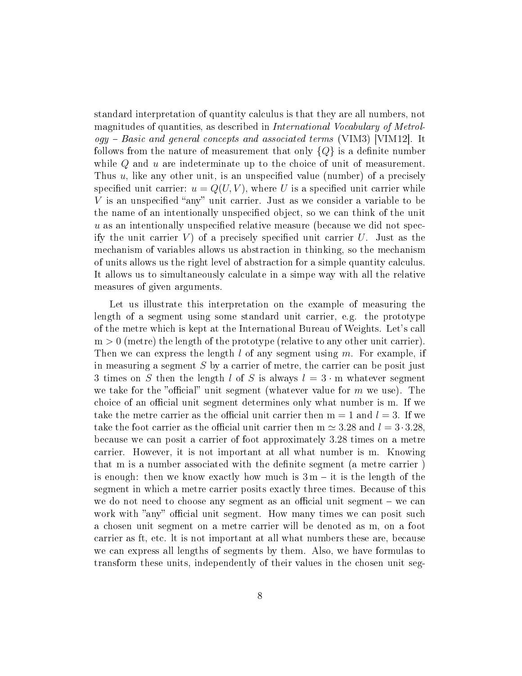standard interpretation of quantity calculus is that they are all numbers, not magnitudes of quantities, as described in International Vocabulary of Metrol- $\log y$  – Basic and general concepts and associated terms (VIM3) [VIM12]. It follows from the nature of measurement that only  $\{Q\}$  is a definite number while  $Q$  and  $u$  are indeterminate up to the choice of unit of measurement. Thus  $u$ , like any other unit, is an unspecified value (number) of a precisely specified unit carrier:  $u = Q(U, V)$ , where U is a specified unit carrier while  $V$  is an unspecified "any" unit carrier. Just as we consider a variable to be the name of an intentionally unspecified object, so we can think of the unit  $u$  as an intentionally unspecified relative measure (because we did not specify the unit carrier  $V$ ) of a precisely specified unit carrier U. Just as the mechanism of variables allows us abstraction in thinking, so the mechanism of units allows us the right level of abstraction for a simple quantity calculus. It allows us to simultaneously calculate in a simpe way with all the relative measures of given arguments.

Let us illustrate this interpretation on the example of measuring the length of a segment using some standard unit carrier, e.g. the prototype of the metre which is kept at the International Bureau of Weights. Let's call  $m > 0$  (metre) the length of the prototype (relative to any other unit carrier). Then we can express the length  $l$  of any segment using  $m$ . For example, if in measuring a segment  $S$  by a carrier of metre, the carrier can be posit just 3 times on S then the length l of S is always  $l = 3 \cdot m$  whatever segment we take for the "official" unit segment (whatever value for  $m$  we use). The choice of an official unit segment determines only what number is m. If we take the metre carrier as the official unit carrier then  $m = 1$  and  $l = 3$ . If we take the foot carrier as the official unit carrier then  $m \approx 3.28$  and  $l = 3 \cdot 3.28$ , because we can posit a carrier of foot approximately 3.28 times on a metre carrier. However, it is not important at all what number is m. Knowing that m is a number associated with the definite segment (a metre carrier) is enough: then we know exactly how much is  $3 m - i t$  is the length of the segment in which a metre carrier posits exactly three times. Because of this we do not need to choose any segment as an official unit segment  $-$  we can work with "any" official unit segment. How many times we can posit such a chosen unit segment on a metre carrier will be denoted as m, on a foot carrier as ft, etc. lt is not important at all what numbers these are, because we can express all lengths of segments by them. Also, we have formulas to transform these units, independently of their values in the chosen unit seg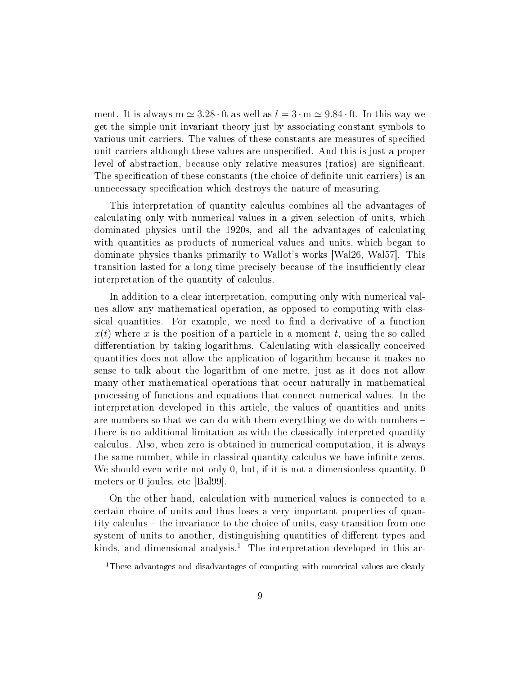ment. It is always m  $\simeq 3.28 \cdot$  ft as well as  $l = 3 \cdot m \simeq 9.84 \cdot$  ft. In this way we get the simple unit invariant theory just by associating constant symbols to various unit carriers. The values of these constants are measures of specified unit carriers although these values are unspecified. And this is just a proper level of abstraction, because only relative measures (ratios) are signicant. The specification of these constants (the choice of definite unit carriers) is an unnecessary specification which destroys the nature of measuring.

This interpretation of quantity calculus combines all the advantages of calculating only with numerical values in a given selection of units, which dominated physics until the 1920s, and all the advantages of calculating with quantities as products of numerical values and units, which began to dominate physics thanks primarily to Wallot's works [Wal26, Wal57]. This transition lasted for a long time precisely because of the insufficiently clear interpretation of the quantity of calculus.

In addition to a clear interpretation, computing only with numerical values allow any mathematical operation, as opposed to computing with classical quantities. For example, we need to find a derivative of a function  $x(t)$  where x is the position of a particle in a moment t, using the so called differentiation by taking logarithms. Calculating with classically conceived quantities does not allow the application of logarithm because it makes no sense to talk about the logarithm of one metre, just as it does not allow many other mathematical operations that occur naturally in mathematical processing of functions and equations that connect numerical values. In the interpretation developed in this article, the values of quantities and units are numbers so that we can do with them everything we do with numbers there is no additional limitation as with the classically interpreted quantity calculus. Also, when zero is obtained in numerical computation, it is always the same number, while in classical quantity calculus we have infinite zeros. We should even write not only 0, but, if it is not a dimensionless quantity, 0 meters or 0 joules, etc [Bal99].

On the other hand, calculation with numerical values is connected to a certain choice of units and thus loses a very important properties of quantity calculus – the invariance to the choice of units, easy transition from one system of units to another, distinguishing quantities of different types and kinds, and dimensional analysis.<sup>1</sup> The interpretation developed in this ar-

<sup>&</sup>lt;sup>1</sup>These advantages and disadvantages of computing with numerical values are clearly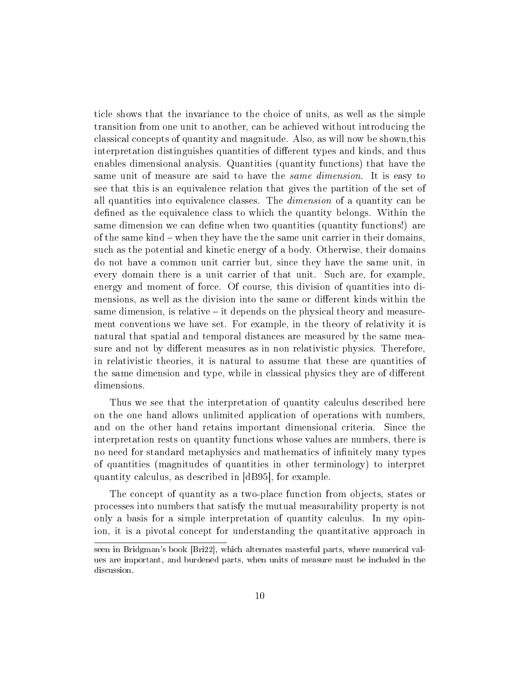ticle shows that the invariance to the choice of units, as well as the simple transition from one unit to another, can be achieved without introducing the classical concepts of quantity and magnitude. Also, as will now be shown,this interpretation distinguishes quantities of different types and kinds, and thus enables dimensional analysis. Quantities (quantity functions) that have the same unit of measure are said to have the *same dimension*. It is easy to see that this is an equivalence relation that gives the partition of the set of all quantities into equivalence classes. The dimension of a quantity can be defined as the equivalence class to which the quantity belongs. Within the same dimension we can define when two quantities (quantity functions!) are of the same kind  $-$  when they have the the same unit carrier in their domains, such as the potential and kinetic energy of a body. Otherwise, their domains do not have a common unit carrier but, since they have the same unit, in every domain there is a unit carrier of that unit. Such are, for example, energy and moment of force. Of course, this division of quantities into dimensions, as well as the division into the same or different kinds within the same dimension, is relative  $-$  it depends on the physical theory and measurement conventions we have set. For example, in the theory of relativity it is natural that spatial and temporal distances are measured by the same measure and not by different measures as in non relativistic physics. Therefore, in relativistic theories, it is natural to assume that these are quantities of the same dimension and type, while in classical physics they are of different dimensions.

Thus we see that the interpretation of quantity calculus described here on the one hand allows unlimited application of operations with numbers, and on the other hand retains important dimensional criteria. Since the interpretation rests on quantity functions whose values are numbers, there is no need for standard metaphysics and mathematics of infinitely many types of quantities (magnitudes of quantities in other terminology) to interpret quantity calculus, as described in [dB95], for example.

The concept of quantity as a two-place function from objects, states or processes into numbers that satisfy the mutual measurability property is not only a basis for a simple interpretation of quantity calculus. In my opinion, it is a pivotal concept for understanding the quantitative approach in

seen in Bridgman's book [Bri22], which alternates masterful parts, where numerical values are important, and burdened parts, when units of measure must be included in the discussion.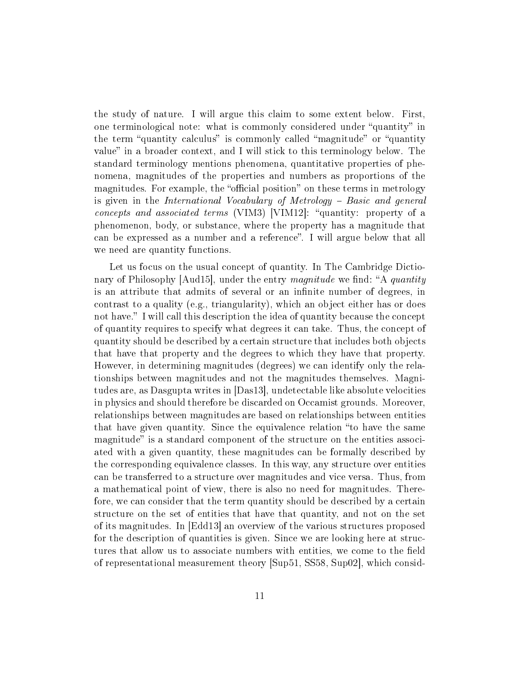the study of nature. I will argue this claim to some extent below. First, one terminological note: what is commonly considered under "quantity" in the term "quantity calculus" is commonly called "magnitude" or "quantity" value" in a broader context, and I will stick to this terminology below. The standard terminology mentions phenomena, quantitative properties of phenomena, magnitudes of the properties and numbers as proportions of the magnitudes. For example, the "official position" on these terms in metrology is given in the International Vocabulary of Metrology - Basic and general  $concepts and associated terms (VIM3) [VIM12]: "quantity: property of a$ phenomenon, body, or substance, where the property has a magnitude that can be expressed as a number and a reference". I will argue below that all we need are quantity functions.

Let us focus on the usual concept of quantity. In The Cambridge Dictionary of Philosophy  $\vert$ Aud15 $\vert$ , under the entry *magnitude* we find: "A *quantity* is an attribute that admits of several or an infinite number of degrees, in contrast to a quality (e.g., triangularity), which an object either has or does not have." I will call this description the idea of quantity because the concept of quantity requires to specify what degrees it can take. Thus, the concept of quantity should be described by a certain structure that includes both objects that have that property and the degrees to which they have that property. However, in determining magnitudes (degrees) we can identify only the relationships between magnitudes and not the magnitudes themselves. Magnitudes are, as Dasgupta writes in [Das13], undetectable like absolute velocities in physics and should therefore be discarded on Occamist grounds. Moreover, relationships between magnitudes are based on relationships between entities that have given quantity. Since the equivalence relation "to have the same magnitude" is a standard component of the structure on the entities associ-ated with a given quantity, these magnitudes can be formally described by the corresponding equivalence classes. In this way, any structure over entities can be transferred to a structure over magnitudes and vice versa. Thus, from a mathematical point of view, there is also no need for magnitudes. Therefore, we can consider that the term quantity should be described by a certain structure on the set of entities that have that quantity, and not on the set of its magnitudes. In [Edd13] an overview of the various structures proposed for the description of quantities is given. Since we are looking here at structures that allow us to associate numbers with entities, we come to the field of representational measurement theory [Sup51, SS58, Sup02], which consid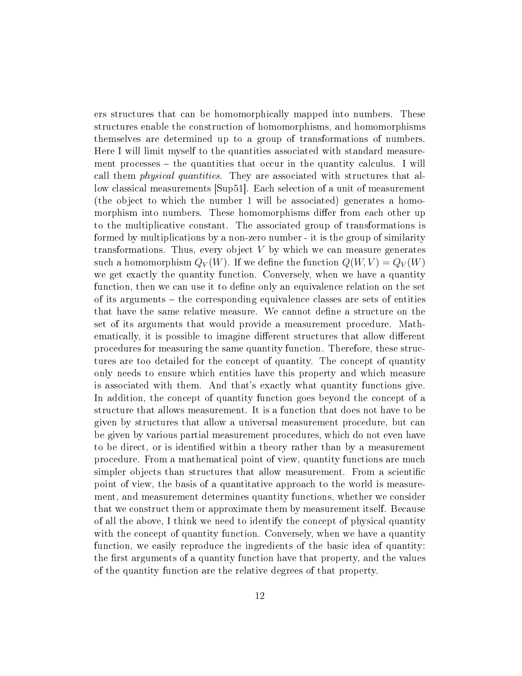ers structures that can be homomorphically mapped into numbers. These structures enable the construction of homomorphisms, and homomorphisms themselves are determined up to a group of transformations of numbers. Here I will limit myself to the quantities associated with standard measurement processes  $-$  the quantities that occur in the quantity calculus. I will call them physical quantities. They are associated with structures that allow classical measurements [Sup51]. Each selection of a unit of measurement (the object to which the number 1 will be associated) generates a homomorphism into numbers. These homomorphisms differ from each other up to the multiplicative constant. The associated group of transformations is formed by multiplications by a non-zero number - it is the group of similarity transformations. Thus, every object  $V$  by which we can measure generates such a homomorphism  $Q_V(W)$ . If we define the function  $Q(W, V) = Q_V(W)$ we get exactly the quantity function. Conversely, when we have a quantity function, then we can use it to define only an equivalence relation on the set of its arguments the corresponding equivalence classes are sets of entities that have the same relative measure. We cannot dene a structure on the set of its arguments that would provide a measurement procedure. Mathematically, it is possible to imagine different structures that allow different procedures for measuring the same quantity function. Therefore, these structures are too detailed for the concept of quantity. The concept of quantity only needs to ensure which entities have this property and which measure is associated with them. And that's exactly what quantity functions give. In addition, the concept of quantity function goes beyond the concept of a structure that allows measurement. It is a function that does not have to be given by structures that allow a universal measurement procedure, but can be given by various partial measurement procedures, which do not even have to be direct, or is identified within a theory rather than by a measurement procedure. From a mathematical point of view, quantity functions are much simpler objects than structures that allow measurement. From a scientific point of view, the basis of a quantitative approach to the world is measurement, and measurement determines quantity functions, whether we consider that we construct them or approximate them by measurement itself. Because of all the above, I think we need to identify the concept of physical quantity with the concept of quantity function. Conversely, when we have a quantity function, we easily reproduce the ingredients of the basic idea of quantity: the first arguments of a quantity function have that property, and the values of the quantity function are the relative degrees of that property.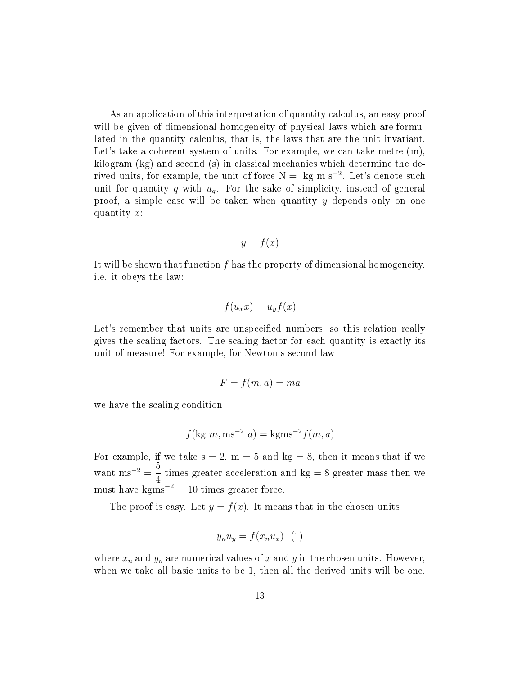As an application of this interpretation of quantity calculus, an easy proof will be given of dimensional homogeneity of physical laws which are formulated in the quantity calculus, that is, the laws that are the unit invariant. Let's take a coherent system of units. For example, we can take metre  $(m)$ , kilogram (kg) and second (s) in classical mechanics which determine the derived units, for example, the unit of force  $N = kg$  m s<sup>-2</sup>. Let's denote such unit for quantity q with  $u_q$ . For the sake of simplicity, instead of general proof, a simple case will be taken when quantity  $y$  depends only on one quantity x:

$$
y = f(x)
$$

It will be shown that function  $f$  has the property of dimensional homogeneity, i.e. it obeys the law:

$$
f(u_x x) = u_y f(x)
$$

Let's remember that units are unspecified numbers, so this relation really gives the scaling factors. The scaling factor for each quantity is exactly its unit of measure! For example, for Newton's second law

$$
F = f(m, a) = ma
$$

we have the scaling condition

$$
f(\text{kg } m, \text{ms}^{-2} a) = \text{kgms}^{-2} f(m, a)
$$

For example, if we take  $s = 2$ ,  $m = 5$  and  $kg = 8$ , then it means that if we want ms<sup>-2</sup> =  $\frac{5}{4}$ 4 times greater acceleration and  $kg = 8$  greater mass then we must have kgms<sup> $-2$ </sup> = 10 times greater force.

The proof is easy. Let  $y = f(x)$ . It means that in the chosen units

$$
y_n u_y = f(x_n u_x) \quad (1)
$$

where  $x_n$  and  $y_n$  are numerical values of x and y in the chosen units. However, when we take all basic units to be 1, then all the derived units will be one.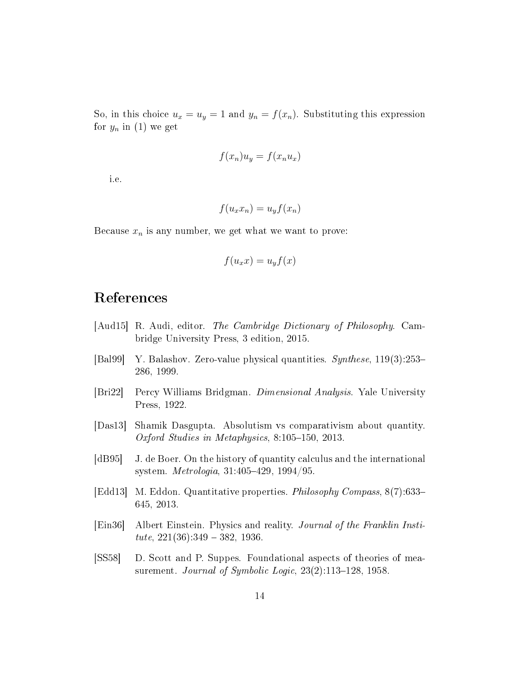So, in this choice  $u_x = u_y = 1$  and  $y_n = f(x_n)$ . Substituting this expression for  $y_n$  in (1) we get

$$
f(x_n)u_y = f(x_n u_x)
$$

i.e.

$$
f(u_x x_n) = u_y f(x_n)
$$

Because  $x_n$  is any number, we get what we want to prove:

$$
f(u_x x) = u_y f(x)
$$

## References

- [Aud15] R. Audi, editor. The Cambridge Dictionary of Philosophy. Cambridge University Press, 3 edition, 2015.
- [Bal99] Y. Balashov. Zero-value physical quantities. Synthese, 119(3):253 286, 1999.
- [Bri22] Percy Williams Bridgman. Dimensional Analysis. Yale University Press, 1922.
- [Das13] Shamik Dasgupta. Absolutism vs comparativism about quantity. Oxford Studies in Metaphysics,  $8:105-150$ , 2013.
- [dB95] J. de Boer. On the history of quantity calculus and the international system. *Metrologia*,  $31:405-429$ ,  $1994/95$ .
- [Edd13] M. Eddon. Quantitative properties. Philosophy Compass, 8(7):633 645, 2013.
- [Ein36] Albert Einstein. Physics and reality. Journal of the Franklin Institute,  $221(36):349 - 382$ , 1936.
- [SS58] D. Scott and P. Suppes. Foundational aspects of theories of measurement. Journal of Symbolic Logic,  $23(2)$ :113-128, 1958.